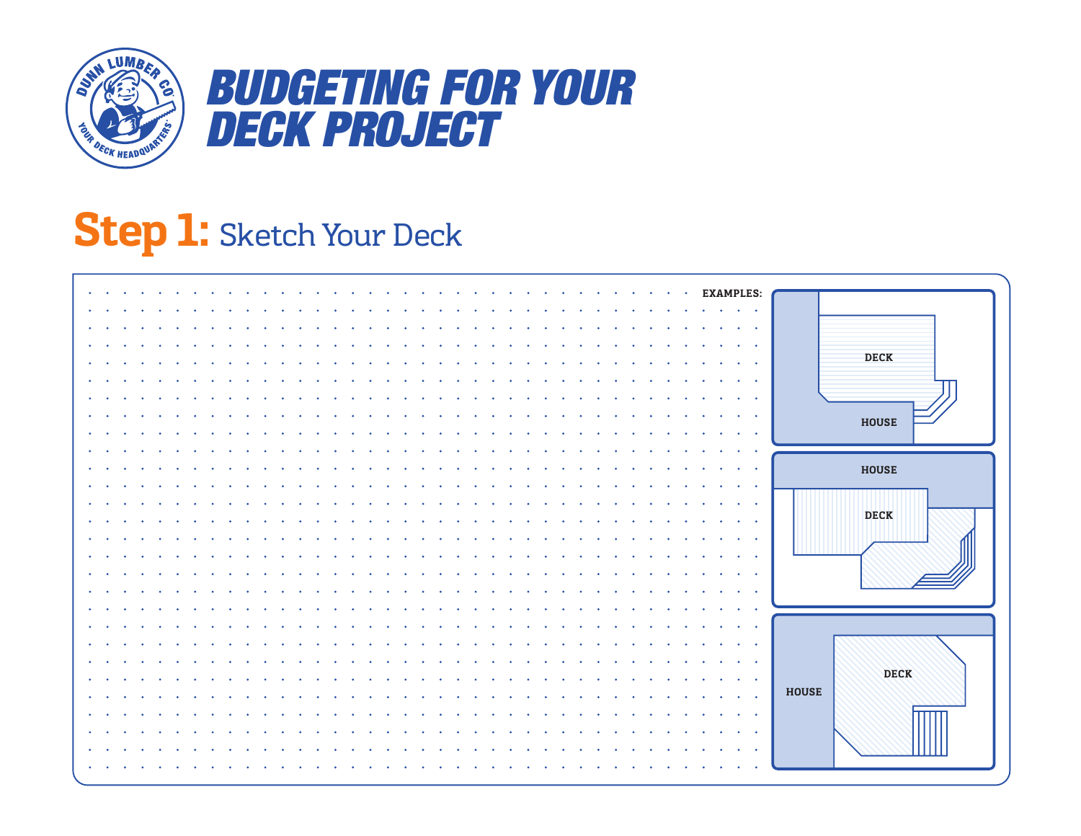

## *BUDGETING FOR YOUR DECK PROJECT*

#### **Step 1: Sketch Your Deck**